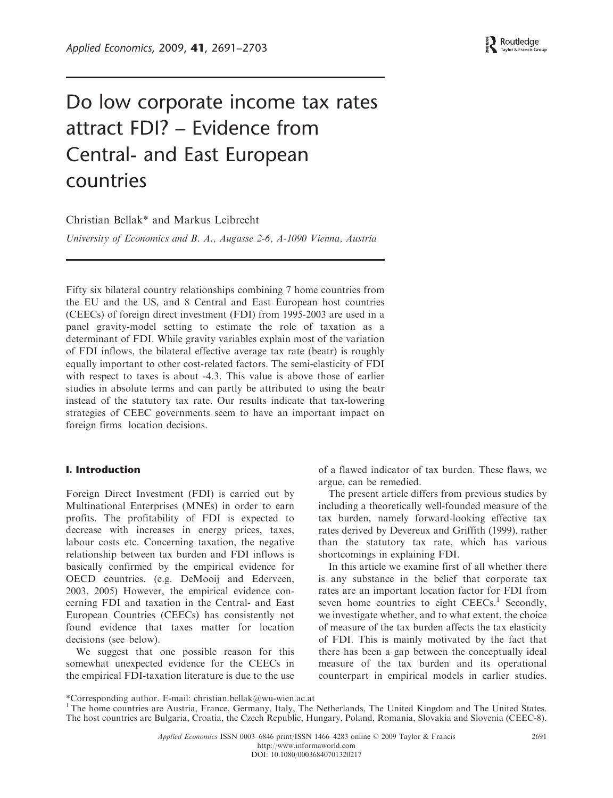# Do low corporate income tax rates attract FDI? – Evidence from Central- and East European countries

Christian Bellak\* and Markus Leibrecht

University of Economics and B. A., Augasse 2-6, A-1090 Vienna, Austria

Fifty six bilateral country relationships combining 7 home countries from the EU and the US, and 8 Central and East European host countries (CEECs) of foreign direct investment (FDI) from 1995-2003 are used in a panel gravity-model setting to estimate the role of taxation as a determinant of FDI. While gravity variables explain most of the variation of FDI inflows, the bilateral effective average tax rate (beatr) is roughly equally important to other cost-related factors. The semi-elasticity of FDI with respect to taxes is about -4.3. This value is above those of earlier studies in absolute terms and can partly be attributed to using the beatr instead of the statutory tax rate. Our results indicate that tax-lowering strategies of CEEC governments seem to have an important impact on foreign firms location decisions.

# I. Introduction

Foreign Direct Investment (FDI) is carried out by Multinational Enterprises (MNEs) in order to earn profits. The profitability of FDI is expected to decrease with increases in energy prices, taxes, labour costs etc. Concerning taxation, the negative relationship between tax burden and FDI inflows is basically confirmed by the empirical evidence for OECD countries. (e.g. DeMooij and Ederveen, 2003, 2005) However, the empirical evidence concerning FDI and taxation in the Central- and East European Countries (CEECs) has consistently not found evidence that taxes matter for location decisions (see below).

We suggest that one possible reason for this somewhat unexpected evidence for the CEECs in the empirical FDI-taxation literature is due to the use of a flawed indicator of tax burden. These flaws, we argue, can be remedied.

The present article differs from previous studies by including a theoretically well-founded measure of the tax burden, namely forward-looking effective tax rates derived by Devereux and Griffith (1999), rather than the statutory tax rate, which has various shortcomings in explaining FDI.

In this article we examine first of all whether there is any substance in the belief that corporate tax rates are an important location factor for FDI from seven home countries to eight  $\text{CEECs}$ <sup>1</sup> Secondly, we investigate whether, and to what extent, the choice of measure of the tax burden affects the tax elasticity of FDI. This is mainly motivated by the fact that there has been a gap between the conceptually ideal measure of the tax burden and its operational counterpart in empirical models in earlier studies.

<sup>\*</sup>Corresponding author. E-mail: christian.bellak@wu-wien.ac.at

<sup>&</sup>lt;sup>1</sup>The home countries are Austria, France, Germany, Italy, The Netherlands, The United Kingdom and The United States. The host countries are Bulgaria, Croatia, the Czech Republic, Hungary, Poland, Romania, Slovakia and Slovenia (CEEC-8).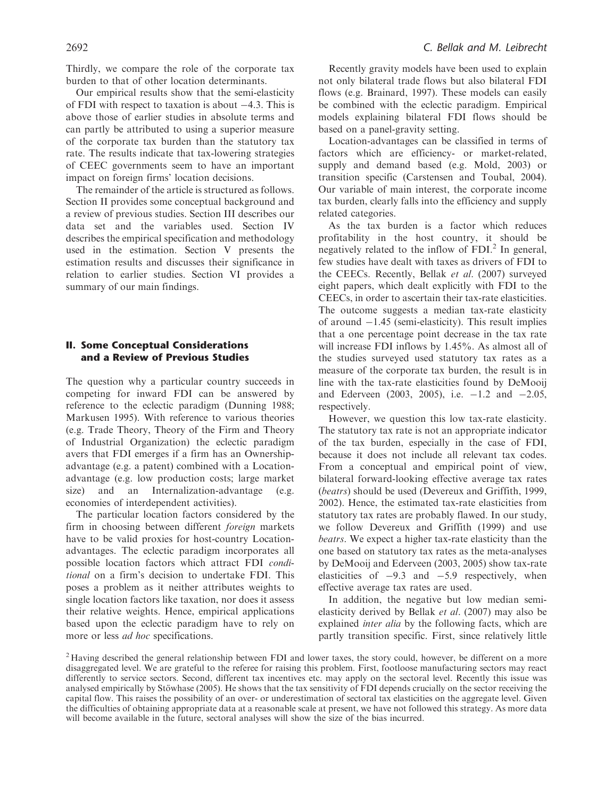Thirdly, we compare the role of the corporate tax burden to that of other location determinants.

Our empirical results show that the semi-elasticity of FDI with respect to taxation is about  $-4.3$ . This is above those of earlier studies in absolute terms and can partly be attributed to using a superior measure of the corporate tax burden than the statutory tax rate. The results indicate that tax-lowering strategies of CEEC governments seem to have an important impact on foreign firms' location decisions.

The remainder of the article is structured as follows. Section II provides some conceptual background and a review of previous studies. Section III describes our data set and the variables used. Section IV describes the empirical specification and methodology used in the estimation. Section V presents the estimation results and discusses their significance in relation to earlier studies. Section VI provides a summary of our main findings.

## II. Some Conceptual Considerations and a Review of Previous Studies

The question why a particular country succeeds in competing for inward FDI can be answered by reference to the eclectic paradigm (Dunning 1988; Markusen 1995). With reference to various theories (e.g. Trade Theory, Theory of the Firm and Theory of Industrial Organization) the eclectic paradigm avers that FDI emerges if a firm has an Ownershipadvantage (e.g. a patent) combined with a Locationadvantage (e.g. low production costs; large market size) and an Internalization-advantage (e.g. economies of interdependent activities).

The particular location factors considered by the firm in choosing between different foreign markets have to be valid proxies for host-country Locationadvantages. The eclectic paradigm incorporates all possible location factors which attract FDI conditional on a firm's decision to undertake FDI. This poses a problem as it neither attributes weights to single location factors like taxation, nor does it assess their relative weights. Hence, empirical applications based upon the eclectic paradigm have to rely on more or less *ad hoc* specifications.

Recently gravity models have been used to explain not only bilateral trade flows but also bilateral FDI flows (e.g. Brainard, 1997). These models can easily be combined with the eclectic paradigm. Empirical models explaining bilateral FDI flows should be based on a panel-gravity setting.

Location-advantages can be classified in terms of factors which are efficiency- or market-related, supply and demand based (e.g. Mold, 2003) or transition specific (Carstensen and Toubal, 2004). Our variable of main interest, the corporate income tax burden, clearly falls into the efficiency and supply related categories.

As the tax burden is a factor which reduces profitability in the host country, it should be negatively related to the inflow of  $FDI<sup>2</sup>$  In general, few studies have dealt with taxes as drivers of FDI to the CEECs. Recently, Bellak et al. (2007) surveyed eight papers, which dealt explicitly with FDI to the CEECs, in order to ascertain their tax-rate elasticities. The outcome suggests a median tax-rate elasticity of around  $-1.45$  (semi-elasticity). This result implies that a one percentage point decrease in the tax rate will increase FDI inflows by 1.45%. As almost all of the studies surveyed used statutory tax rates as a measure of the corporate tax burden, the result is in line with the tax-rate elasticities found by DeMooij and Ederveen  $(2003, 2005)$ , i.e.  $-1.2$  and  $-2.05$ , respectively.

However, we question this low tax-rate elasticity. The statutory tax rate is not an appropriate indicator of the tax burden, especially in the case of FDI, because it does not include all relevant tax codes. From a conceptual and empirical point of view, bilateral forward-looking effective average tax rates (beatrs) should be used (Devereux and Griffith, 1999, 2002). Hence, the estimated tax-rate elasticities from statutory tax rates are probably flawed. In our study, we follow Devereux and Griffith (1999) and use beatrs. We expect a higher tax-rate elasticity than the one based on statutory tax rates as the meta-analyses by DeMooij and Ederveen (2003, 2005) show tax-rate elasticities of  $-9.3$  and  $-5.9$  respectively, when effective average tax rates are used.

In addition, the negative but low median semielasticity derived by Bellak et al. (2007) may also be explained *inter alia* by the following facts, which are partly transition specific. First, since relatively little

<sup>&</sup>lt;sup>2</sup> Having described the general relationship between FDI and lower taxes, the story could, however, be different on a more disaggregated level. We are grateful to the referee for raising this problem. First, footloose manufacturing sectors may react differently to service sectors. Second, different tax incentives etc. may apply on the sectoral level. Recently this issue was analysed empirically by Stöwhase (2005). He shows that the tax sensitivity of FDI depends crucially on the sector receiving the capital flow. This raises the possibility of an over- or underestimation of sectoral tax elasticities on the aggregate level. Given the difficulties of obtaining appropriate data at a reasonable scale at present, we have not followed this strategy. As more data will become available in the future, sectoral analyses will show the size of the bias incurred.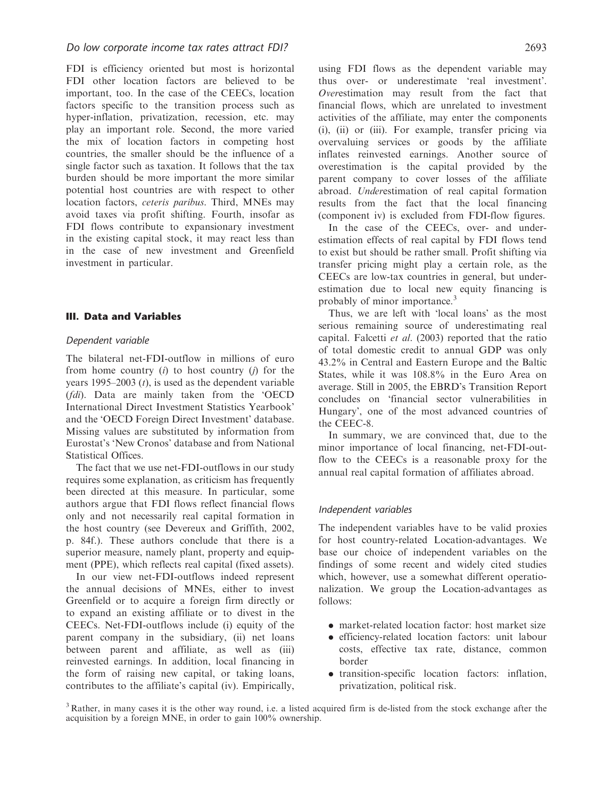FDI is efficiency oriented but most is horizontal FDI other location factors are believed to be important, too. In the case of the CEECs, location factors specific to the transition process such as hyper-inflation, privatization, recession, etc. may play an important role. Second, the more varied the mix of location factors in competing host countries, the smaller should be the influence of a single factor such as taxation. It follows that the tax burden should be more important the more similar potential host countries are with respect to other location factors, ceteris paribus. Third, MNEs may avoid taxes via profit shifting. Fourth, insofar as FDI flows contribute to expansionary investment in the existing capital stock, it may react less than in the case of new investment and Greenfield investment in particular.

## III. Data and Variables

#### Dependent variable

The bilateral net-FDI-outflow in millions of euro from home country  $(i)$  to host country  $(i)$  for the years 1995–2003  $(t)$ , is used as the dependent variable (fdi). Data are mainly taken from the 'OECD International Direct Investment Statistics Yearbook' and the 'OECD Foreign Direct Investment' database. Missing values are substituted by information from Eurostat's 'New Cronos' database and from National Statistical Offices.

The fact that we use net-FDI-outflows in our study requires some explanation, as criticism has frequently been directed at this measure. In particular, some authors argue that FDI flows reflect financial flows only and not necessarily real capital formation in the host country (see Devereux and Griffith, 2002, p. 84f.). These authors conclude that there is a superior measure, namely plant, property and equipment (PPE), which reflects real capital (fixed assets).

In our view net-FDI-outflows indeed represent the annual decisions of MNEs, either to invest Greenfield or to acquire a foreign firm directly or to expand an existing affiliate or to divest in the CEECs. Net-FDI-outflows include (i) equity of the parent company in the subsidiary, (ii) net loans between parent and affiliate, as well as (iii) reinvested earnings. In addition, local financing in the form of raising new capital, or taking loans, contributes to the affiliate's capital (iv). Empirically, using FDI flows as the dependent variable may thus over- or underestimate 'real investment'. Overestimation may result from the fact that financial flows, which are unrelated to investment activities of the affiliate, may enter the components (i), (ii) or (iii). For example, transfer pricing via overvaluing services or goods by the affiliate inflates reinvested earnings. Another source of overestimation is the capital provided by the parent company to cover losses of the affiliate abroad. Underestimation of real capital formation results from the fact that the local financing (component iv) is excluded from FDI-flow figures.

In the case of the CEECs, over- and underestimation effects of real capital by FDI flows tend to exist but should be rather small. Profit shifting via transfer pricing might play a certain role, as the CEECs are low-tax countries in general, but underestimation due to local new equity financing is probably of minor importance.<sup>3</sup>

Thus, we are left with 'local loans' as the most serious remaining source of underestimating real capital. Falcetti et al. (2003) reported that the ratio of total domestic credit to annual GDP was only 43.2% in Central and Eastern Europe and the Baltic States, while it was 108.8% in the Euro Area on average. Still in 2005, the EBRD's Transition Report concludes on 'financial sector vulnerabilities in Hungary', one of the most advanced countries of the CEEC-8.

In summary, we are convinced that, due to the minor importance of local financing, net-FDI-outflow to the CEECs is a reasonable proxy for the annual real capital formation of affiliates abroad.

#### Independent variables

The independent variables have to be valid proxies for host country-related Location-advantages. We base our choice of independent variables on the findings of some recent and widely cited studies which, however, use a somewhat different operationalization. We group the Location-advantages as follows:

- . market-related location factor: host market size
- . efficiency-related location factors: unit labour costs, effective tax rate, distance, common border
- . transition-specific location factors: inflation, privatization, political risk.

<sup>3</sup> Rather, in many cases it is the other way round, i.e. a listed acquired firm is de-listed from the stock exchange after the acquisition by a foreign MNE, in order to gain 100% ownership.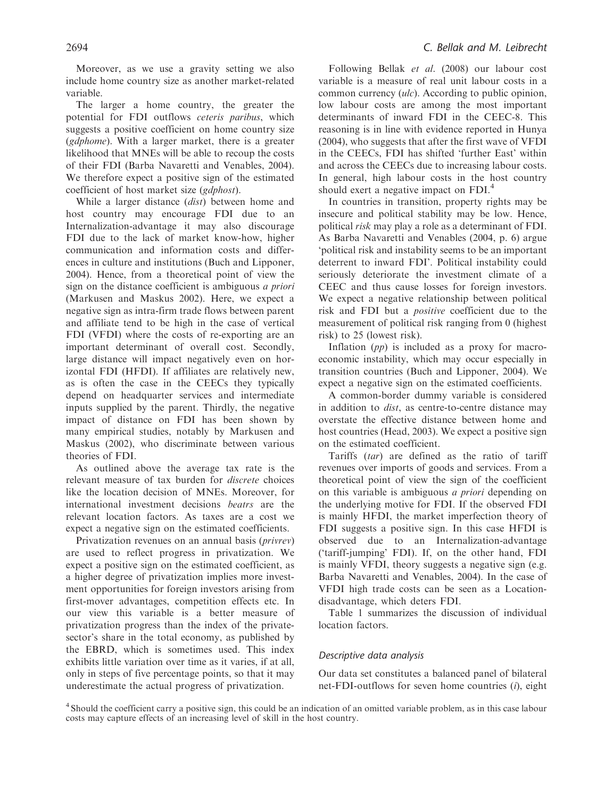Moreover, as we use a gravity setting we also include home country size as another market-related variable.

The larger a home country, the greater the potential for FDI outflows ceteris paribus, which suggests a positive coefficient on home country size (gdphome). With a larger market, there is a greater likelihood that MNEs will be able to recoup the costs of their FDI (Barba Navaretti and Venables, 2004). We therefore expect a positive sign of the estimated coefficient of host market size (gdphost).

While a larger distance (dist) between home and host country may encourage FDI due to an Internalization-advantage it may also discourage FDI due to the lack of market know-how, higher communication and information costs and differences in culture and institutions (Buch and Lipponer, 2004). Hence, from a theoretical point of view the sign on the distance coefficient is ambiguous a priori (Markusen and Maskus 2002). Here, we expect a negative sign as intra-firm trade flows between parent and affiliate tend to be high in the case of vertical FDI (VFDI) where the costs of re-exporting are an important determinant of overall cost. Secondly, large distance will impact negatively even on horizontal FDI (HFDI). If affiliates are relatively new, as is often the case in the CEECs they typically depend on headquarter services and intermediate inputs supplied by the parent. Thirdly, the negative impact of distance on FDI has been shown by many empirical studies, notably by Markusen and Maskus (2002), who discriminate between various theories of FDI.

As outlined above the average tax rate is the relevant measure of tax burden for discrete choices like the location decision of MNEs. Moreover, for international investment decisions beatrs are the relevant location factors. As taxes are a cost we expect a negative sign on the estimated coefficients.

Privatization revenues on an annual basis (privrev) are used to reflect progress in privatization. We expect a positive sign on the estimated coefficient, as a higher degree of privatization implies more investment opportunities for foreign investors arising from first-mover advantages, competition effects etc. In our view this variable is a better measure of privatization progress than the index of the privatesector's share in the total economy, as published by the EBRD, which is sometimes used. This index exhibits little variation over time as it varies, if at all, only in steps of five percentage points, so that it may underestimate the actual progress of privatization.

Following Bellak et al. (2008) our labour cost variable is a measure of real unit labour costs in a common currency  $(u/c)$ . According to public opinion, low labour costs are among the most important determinants of inward FDI in the CEEC-8. This reasoning is in line with evidence reported in Hunya (2004), who suggests that after the first wave of VFDI in the CEECs, FDI has shifted 'further East' within and across the CEECs due to increasing labour costs. In general, high labour costs in the host country should exert a negative impact on  $FDI<sup>4</sup>$ 

In countries in transition, property rights may be insecure and political stability may be low. Hence, political risk may play a role as a determinant of FDI. As Barba Navaretti and Venables (2004, p. 6) argue 'political risk and instability seems to be an important deterrent to inward FDI'. Political instability could seriously deteriorate the investment climate of a CEEC and thus cause losses for foreign investors. We expect a negative relationship between political risk and FDI but a positive coefficient due to the measurement of political risk ranging from 0 (highest risk) to 25 (lowest risk).

Inflation  $(pp)$  is included as a proxy for macroeconomic instability, which may occur especially in transition countries (Buch and Lipponer, 2004). We expect a negative sign on the estimated coefficients.

A common-border dummy variable is considered in addition to *dist*, as centre-to-centre distance may overstate the effective distance between home and host countries (Head, 2003). We expect a positive sign on the estimated coefficient.

Tariffs (tar) are defined as the ratio of tariff revenues over imports of goods and services. From a theoretical point of view the sign of the coefficient on this variable is ambiguous a priori depending on the underlying motive for FDI. If the observed FDI is mainly HFDI, the market imperfection theory of FDI suggests a positive sign. In this case HFDI is observed due to an Internalization-advantage ('tariff-jumping' FDI). If, on the other hand, FDI is mainly VFDI, theory suggests a negative sign (e.g. Barba Navaretti and Venables, 2004). In the case of VFDI high trade costs can be seen as a Locationdisadvantage, which deters FDI.

Table 1 summarizes the discussion of individual location factors.

#### Descriptive data analysis

Our data set constitutes a balanced panel of bilateral net-FDI-outflows for seven home countries (i), eight

<sup>4</sup> Should the coefficient carry a positive sign, this could be an indication of an omitted variable problem, as in this case labour costs may capture effects of an increasing level of skill in the host country.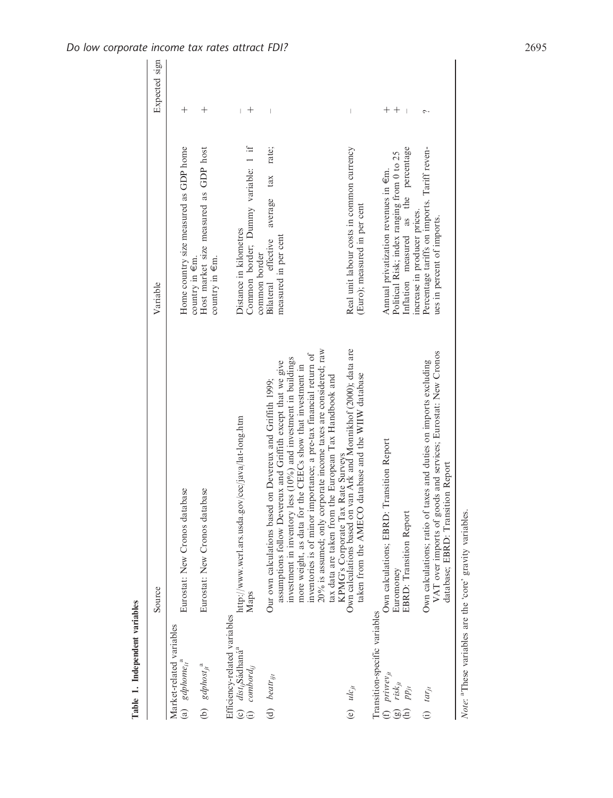|                                                             |                                                                                                                | Source                                                                                                                                                                                                                                                      | Variable                                                                                      | Expected sign      |
|-------------------------------------------------------------|----------------------------------------------------------------------------------------------------------------|-------------------------------------------------------------------------------------------------------------------------------------------------------------------------------------------------------------------------------------------------------------|-----------------------------------------------------------------------------------------------|--------------------|
|                                                             | Market-related variables<br>(a) $gdphome_{it}$ <sup>a</sup>                                                    | Eurostat: New Cronos database                                                                                                                                                                                                                               | Home country size measured as GDP home                                                        | $^{+}$             |
|                                                             | (b) $gdphost_{jt}$ <sup>a</sup>                                                                                | Eurostat: New Cronos database                                                                                                                                                                                                                               | Host market size measured as GDP host<br>country in $\epsilon$ m.<br>country in $\epsilon$ m. | $^{+}$             |
|                                                             | Efficiency-related variables<br>(c) <i>dist<sub>ij</sub>Sá</i> dhaná <sup>a</sup><br>(i) combord <sub>ij</sub> | http://www.wcrl.ars.usda.gov/cec/java/lat-long.htm<br>Maps                                                                                                                                                                                                  | Common border; Dummy variable: 1 if<br>Distance in kilometres<br>common border                | $\hspace{0.1mm} +$ |
| (d) $b$ eatr <sub>itt</sub>                                 |                                                                                                                | less (10%) and investment in buildings<br>assumptions follow Devereux and Griffith except that we give<br>Our own calculations based on Devereux and Griffith 1999;<br>investment in inventory                                                              | tax rate;<br>average<br>measured in per cent<br>Bilateral effective                           |                    |
|                                                             |                                                                                                                | 20% is assumed; only corporate income taxes are considered; raw<br>inventories is of minor importance; a pre-tax financial return of<br>more weight, as data for the CEECs show that investment in<br>tax data are taken from the European Tax Handbook and |                                                                                               |                    |
| (e) $ulc_{it}$                                              |                                                                                                                | KPMG's Corporate Tax Rate Surveys<br>Own calculations based on van Ark and Monnikhof (2000); data are<br>database and the WIIW database<br>taken from the AMECO                                                                                             | Real unit labour costs in common currency<br>(Euro); measured in per cent                     |                    |
|                                                             | Transition-specific variables                                                                                  |                                                                                                                                                                                                                                                             |                                                                                               |                    |
| (f) $\frac{p}{i}$ $\frac{p}{i}$ $\frac{p}{i}$ $\frac{p}{i}$ |                                                                                                                | Transition Report<br>Own calculations; EBRD:<br>Euromoney                                                                                                                                                                                                   | Political Risk; index ranging from 0 to 25<br>Annual privatization revenues in €m.            | $^{+}$             |
| $pp_{ji}$<br>$\widehat{E}$                                  |                                                                                                                | EBRD: Transition Report                                                                                                                                                                                                                                     | the percentage<br>increase in producer prices.<br>Inflation measured as                       |                    |
| (i) $tar_{ji}$                                              |                                                                                                                | VAT over imports of goods and services; Eurostat: New Cronos<br>taxes and duties on imports excluding<br>database; EBRD: Transition Report<br>Own calculations; ratio of                                                                                    | Percentage tariffs on imports. Tariff reven-<br>ues in percent of imports.                    |                    |

Note: <sup>a</sup>These variables are the 'core' gravity variables. Note: <sup>a</sup>These variables are the 'core' gravity variables.

Table 1. Independent variables

Table 1. Independent variables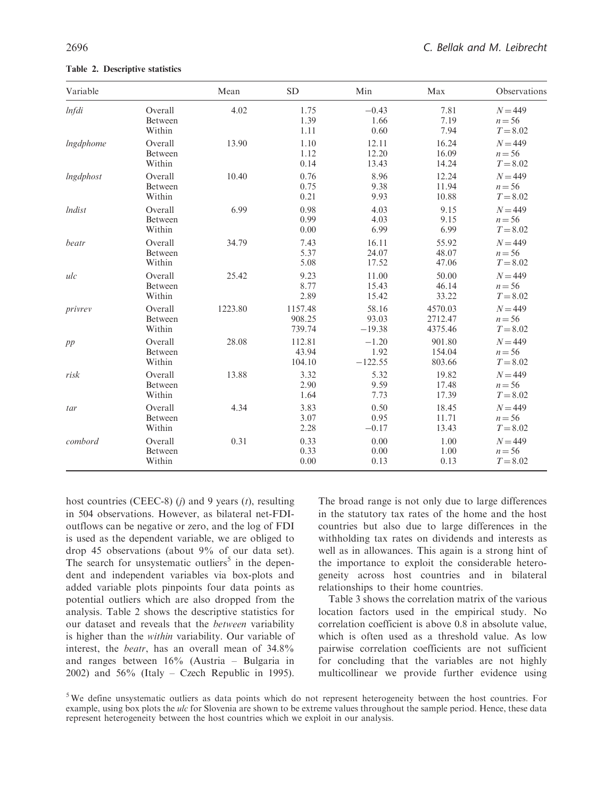| Variable         |                              | Mean    | <b>SD</b>                   | Min                          | Max                           | Observations                        |
|------------------|------------------------------|---------|-----------------------------|------------------------------|-------------------------------|-------------------------------------|
| <i>Infdi</i>     | Overall<br>Between<br>Within | 4.02    | 1.75<br>1.39<br>1.11        | $-0.43$<br>1.66<br>0.60      | 7.81<br>7.19<br>7.94          | $N = 449$<br>$n = 56$<br>$T = 8.02$ |
| <i>Ingdphome</i> | Overall<br>Between<br>Within | 13.90   | 1.10<br>1.12<br>0.14        | 12.11<br>12.20<br>13.43      | 16.24<br>16.09<br>14.24       | $N = 449$<br>$n = 56$<br>$T = 8.02$ |
| lngdphost        | Overall<br>Between<br>Within | 10.40   | 0.76<br>0.75<br>0.21        | 8.96<br>9.38<br>9.93         | 12.24<br>11.94<br>10.88       | $N = 449$<br>$n = 56$<br>$T = 8.02$ |
| <i>Indist</i>    | Overall<br>Between<br>Within | 6.99    | 0.98<br>0.99<br>0.00        | 4.03<br>4.03<br>6.99         | 9.15<br>9.15<br>6.99          | $N = 449$<br>$n = 56$<br>$T = 8.02$ |
| beatr            | Overall<br>Between<br>Within | 34.79   | 7.43<br>5.37<br>5.08        | 16.11<br>24.07<br>17.52      | 55.92<br>48.07<br>47.06       | $N = 449$<br>$n = 56$<br>$T = 8.02$ |
| ulc              | Overall<br>Between<br>Within | 25.42   | 9.23<br>8.77<br>2.89        | 11.00<br>15.43<br>15.42      | 50.00<br>46.14<br>33.22       | $N = 449$<br>$n = 56$<br>$T = 8.02$ |
| privrev          | Overall<br>Between<br>Within | 1223.80 | 1157.48<br>908.25<br>739.74 | 58.16<br>93.03<br>$-19.38$   | 4570.03<br>2712.47<br>4375.46 | $N = 449$<br>$n = 56$<br>$T = 8.02$ |
| pp               | Overall<br>Between<br>Within | 28.08   | 112.81<br>43.94<br>104.10   | $-1.20$<br>1.92<br>$-122.55$ | 901.80<br>154.04<br>803.66    | $N = 449$<br>$n = 56$<br>$T = 8.02$ |
| risk             | Overall<br>Between<br>Within | 13.88   | 3.32<br>2.90<br>1.64        | 5.32<br>9.59<br>7.73         | 19.82<br>17.48<br>17.39       | $N = 449$<br>$n = 56$<br>$T = 8.02$ |
| tar              | Overall<br>Between<br>Within | 4.34    | 3.83<br>3.07<br>2.28        | 0.50<br>0.95<br>$-0.17$      | 18.45<br>11.71<br>13.43       | $N = 449$<br>$n = 56$<br>$T = 8.02$ |
| combord          | Overall<br>Between<br>Within | 0.31    | 0.33<br>0.33<br>0.00        | 0.00<br>0.00<br>0.13         | 1.00<br>1.00<br>0.13          | $N = 449$<br>$n = 56$<br>$T = 8.02$ |

Table 2. Descriptive statistics

host countries (CEEC-8)  $(j)$  and 9 years  $(t)$ , resulting in 504 observations. However, as bilateral net-FDIoutflows can be negative or zero, and the log of FDI is used as the dependent variable, we are obliged to drop 45 observations (about 9% of our data set). The search for unsystematic outliers<sup>5</sup> in the dependent and independent variables via box-plots and added variable plots pinpoints four data points as potential outliers which are also dropped from the analysis. Table 2 shows the descriptive statistics for our dataset and reveals that the between variability is higher than the within variability. Our variable of interest, the beatr, has an overall mean of 34.8% and ranges between 16% (Austria – Bulgaria in 2002) and 56% (Italy – Czech Republic in 1995). The broad range is not only due to large differences in the statutory tax rates of the home and the host countries but also due to large differences in the withholding tax rates on dividends and interests as well as in allowances. This again is a strong hint of the importance to exploit the considerable heterogeneity across host countries and in bilateral relationships to their home countries.

Table 3 shows the correlation matrix of the various location factors used in the empirical study. No correlation coefficient is above 0.8 in absolute value, which is often used as a threshold value. As low pairwise correlation coefficients are not sufficient for concluding that the variables are not highly multicollinear we provide further evidence using

<sup>&</sup>lt;sup>5</sup>We define unsystematic outliers as data points which do not represent heterogeneity between the host countries. For example, using box plots the ulc for Slovenia are shown to be extreme values throughout the sample period. Hence, these data represent heterogeneity between the host countries which we exploit in our analysis.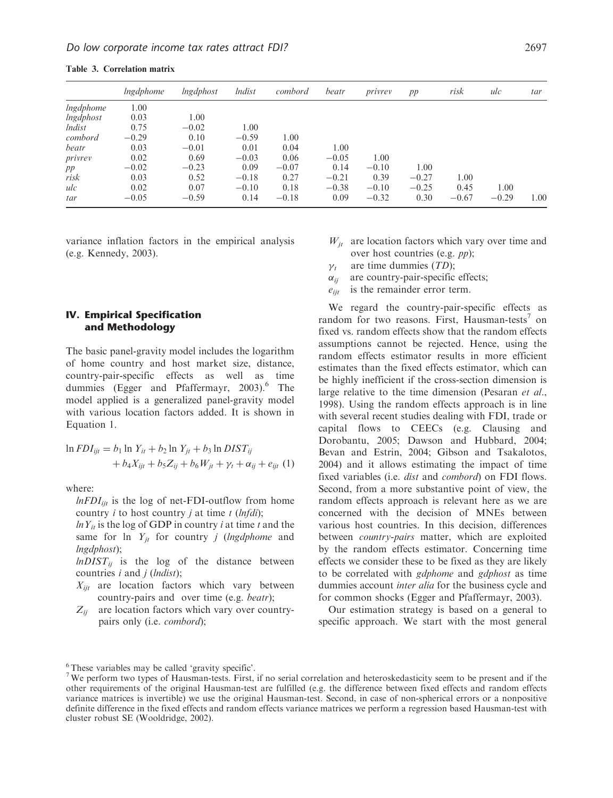|                  | <i>lngdphome</i> | lngdphost | <i>lndist</i> | combord | beatr   | privrey | pp      | risk    | ulc     | tar  |
|------------------|------------------|-----------|---------------|---------|---------|---------|---------|---------|---------|------|
| <i>lngdphome</i> | 1.00             |           |               |         |         |         |         |         |         |      |
| lngdphost        | 0.03             | 1.00      |               |         |         |         |         |         |         |      |
| <i>lndist</i>    | 0.75             | $-0.02$   | 1.00          |         |         |         |         |         |         |      |
| combord          | $-0.29$          | 0.10      | $-0.59$       | 1.00    |         |         |         |         |         |      |
| beatr            | 0.03             | $-0.01$   | 0.01          | 0.04    | 1.00    |         |         |         |         |      |
| privrev          | 0.02             | 0.69      | $-0.03$       | 0.06    | $-0.05$ | 1.00    |         |         |         |      |
| pp               | $-0.02$          | $-0.23$   | 0.09          | $-0.07$ | 0.14    | $-0.10$ | 1.00    |         |         |      |
| risk             | 0.03             | 0.52      | $-0.18$       | 0.27    | $-0.21$ | 0.39    | $-0.27$ | 1.00    |         |      |
| ulc              | 0.02             | 0.07      | $-0.10$       | 0.18    | $-0.38$ | $-0.10$ | $-0.25$ | 0.45    | 1.00    |      |
| tar              | $-0.05$          | $-0.59$   | 0.14          | $-0.18$ | 0.09    | $-0.32$ | 0.30    | $-0.67$ | $-0.29$ | 1.00 |

Table 3. Correlation matrix

variance inflation factors in the empirical analysis (e.g. Kennedy, 2003).

## IV. Empirical Specification and Methodology

The basic panel-gravity model includes the logarithm of home country and host market size, distance, country-pair-specific effects as well as time dummies (Egger and Pfaffermayr, 2003).<sup>6</sup> The model applied is a generalized panel-gravity model with various location factors added. It is shown in Equation 1.

$$
\ln FDI_{ijt} = b_1 \ln Y_{it} + b_2 \ln Y_{jt} + b_3 \ln DIST_{ij}
$$
  
+  $b_4 X_{ijt} + b_5 Z_{ij} + b_6 W_{jt} + \gamma_t + \alpha_{ij} + e_{ijt}$  (1)

where:

 $lnFDI_{ijt}$  is the log of net-FDI-outflow from home country *i* to host country *j* at time  $t$  (*lnfdi*);

 $ln Y_{it}$  is the log of GDP in country *i* at time *t* and the same for  $\ln Y_{it}$  for country *j* (*lngdphome* and lngdphost);

 $lnDIST_{ii}$  is the log of the distance between countries  $i$  and  $j$  (*lndist*);

- $X_{iit}$  are location factors which vary between country-pairs and over time (e.g. beatr);
- $Z_{ij}$  are location factors which vary over countrypairs only (i.e. combord);
- $W_{it}$  are location factors which vary over time and over host countries (e.g. pp);
- $\nu_{\star}$ are time dummies  $(TD)$ ;
- $\alpha_{ii}$  are country-pair-specific effects;
- $e_{ijt}$  is the remainder error term.

We regard the country-pair-specific effects as random for two reasons. First, Hausman-tests<sup> $\prime$ </sup> on fixed vs. random effects show that the random effects assumptions cannot be rejected. Hence, using the random effects estimator results in more efficient estimates than the fixed effects estimator, which can be highly inefficient if the cross-section dimension is large relative to the time dimension (Pesaran *et al.*, 1998). Using the random effects approach is in line with several recent studies dealing with FDI, trade or capital flows to CEECs (e.g. Clausing and Dorobantu, 2005; Dawson and Hubbard, 2004; Bevan and Estrin, 2004; Gibson and Tsakalotos, 2004) and it allows estimating the impact of time fixed variables (i.e. *dist* and *combord*) on FDI flows. Second, from a more substantive point of view, the random effects approach is relevant here as we are concerned with the decision of MNEs between various host countries. In this decision, differences between *country-pairs* matter, which are exploited by the random effects estimator. Concerning time effects we consider these to be fixed as they are likely to be correlated with *gdphome* and *gdphost* as time dummies account *inter alia* for the business cycle and for common shocks (Egger and Pfaffermayr, 2003).

Our estimation strategy is based on a general to specific approach. We start with the most general

<sup>&</sup>lt;sup>6</sup>These variables may be called 'gravity specific'.

<sup>&</sup>lt;sup>7</sup>We perform two types of Hausman-tests. First, if no serial correlation and heteroskedasticity seem to be present and if the other requirements of the original Hausman-test are fulfilled (e.g. the difference between fixed effects and random effects variance matrices is invertible) we use the original Hausman-test. Second, in case of non-spherical errors or a nonpositive definite difference in the fixed effects and random effects variance matrices we perform a regression based Hausman-test with cluster robust SE (Wooldridge, 2002).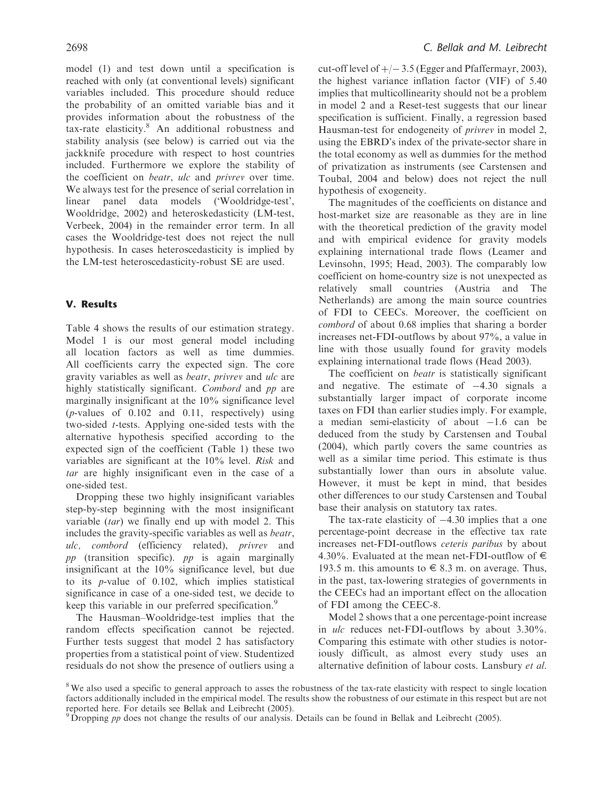model (1) and test down until a specification is reached with only (at conventional levels) significant variables included. This procedure should reduce the probability of an omitted variable bias and it provides information about the robustness of the tax-rate elasticity.<sup>8</sup> An additional robustness and stability analysis (see below) is carried out via the jackknife procedure with respect to host countries included. Furthermore we explore the stability of the coefficient on beatr, ulc and privrev over time. We always test for the presence of serial correlation in linear panel data models ('Wooldridge-test', Wooldridge, 2002) and heteroskedasticity (LM-test, Verbeek, 2004) in the remainder error term. In all cases the Wooldridge-test does not reject the null hypothesis. In cases heteroscedasticity is implied by the LM-test heteroscedasticity-robust SE are used.

#### V. Results

Table 4 shows the results of our estimation strategy. Model 1 is our most general model including all location factors as well as time dummies. All coefficients carry the expected sign. The core gravity variables as well as beatr, privrev and ulc are highly statistically significant. Combord and pp are marginally insignificant at the 10% significance level (p-values of 0.102 and 0.11, respectively) using two-sided t-tests. Applying one-sided tests with the alternative hypothesis specified according to the expected sign of the coefficient (Table 1) these two variables are significant at the 10% level. Risk and tar are highly insignificant even in the case of a one-sided test.

Dropping these two highly insignificant variables step-by-step beginning with the most insignificant variable  $(tar)$  we finally end up with model 2. This includes the gravity-specific variables as well as beatr, ulc, combord (efficiency related), privrev and  $pp$  (transition specific).  $pp$  is again marginally insignificant at the 10% significance level, but due to its p-value of 0.102, which implies statistical significance in case of a one-sided test, we decide to keep this variable in our preferred specification.<sup>9</sup>

The Hausman–Wooldridge-test implies that the random effects specification cannot be rejected. Further tests suggest that model 2 has satisfactory properties from a statistical point of view. Studentized residuals do not show the presence of outliers using a

cut-off level of  $+/-$  3.5 (Egger and Pfaffermayr, 2003), the highest variance inflation factor (VIF) of 5.40 implies that multicollinearity should not be a problem in model 2 and a Reset-test suggests that our linear specification is sufficient. Finally, a regression based Hausman-test for endogeneity of privrev in model 2, using the EBRD's index of the private-sector share in the total economy as well as dummies for the method of privatization as instruments (see Carstensen and Toubal, 2004 and below) does not reject the null hypothesis of exogeneity.

The magnitudes of the coefficients on distance and host-market size are reasonable as they are in line with the theoretical prediction of the gravity model and with empirical evidence for gravity models explaining international trade flows (Leamer and Levinsohn, 1995; Head, 2003). The comparably low coefficient on home-country size is not unexpected as relatively small countries (Austria and The Netherlands) are among the main source countries of FDI to CEECs. Moreover, the coefficient on combord of about 0.68 implies that sharing a border increases net-FDI-outflows by about 97%, a value in line with those usually found for gravity models explaining international trade flows (Head 2003).

The coefficient on *beatr* is statistically significant and negative. The estimate of  $-4.30$  signals a substantially larger impact of corporate income taxes on FDI than earlier studies imply. For example, a median semi-elasticity of about  $-1.6$  can be deduced from the study by Carstensen and Toubal (2004), which partly covers the same countries as well as a similar time period. This estimate is thus substantially lower than ours in absolute value. However, it must be kept in mind, that besides other differences to our study Carstensen and Toubal base their analysis on statutory tax rates.

The tax-rate elasticity of  $-4.30$  implies that a one percentage-point decrease in the effective tax rate increases net-FDI-outflows ceteris paribus by about 4.30%. Evaluated at the mean net-FDI-outflow of  $\in$ 193.5 m. this amounts to  $\epsilon$  8.3 m. on average. Thus, in the past, tax-lowering strategies of governments in the CEECs had an important effect on the allocation of FDI among the CEEC-8.

Model 2 shows that a one percentage-point increase in ulc reduces net-FDI-outflows by about 3.30%. Comparing this estimate with other studies is notoriously difficult, as almost every study uses an alternative definition of labour costs. Lansbury et al.

<sup>&</sup>lt;sup>8</sup>We also used a specific to general approach to asses the robustness of the tax-rate elasticity with respect to single location factors additionally included in the empirical model. The results show the robustness of our estimate in this respect but are not

reported here. For details see Bellak and Leibrecht (2005).<br><sup>9</sup> Dropping *pp* does not change the results of our analysis. Details can be found in Bellak and Leibrecht (2005).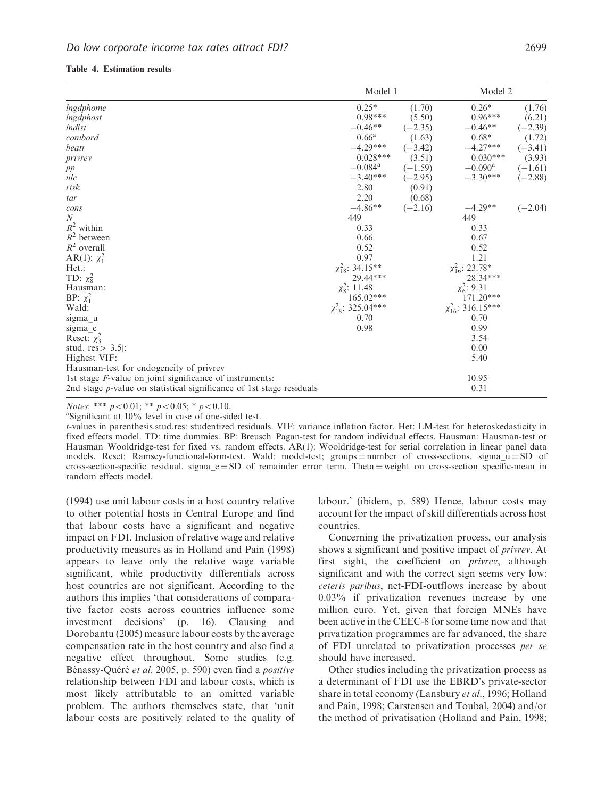|                                                                      | Model 1                   |           | Model 2                                                                                      |           |
|----------------------------------------------------------------------|---------------------------|-----------|----------------------------------------------------------------------------------------------|-----------|
| <i>Ingdphome</i>                                                     | $0.25*$                   | (1.70)    | $0.26*$                                                                                      | (1.76)    |
| Ingdphost                                                            | $0.98***$                 | (5.50)    | $0.96***$                                                                                    | (6.21)    |
| <i>lndist</i>                                                        | $-0.46**$                 | $(-2.35)$ | $-0.46**$                                                                                    | $(-2.39)$ |
| combord                                                              | $0.66^{\rm a}$            | (1.63)    | $0.68*$                                                                                      | (1.72)    |
| beatr                                                                | $-4.29***$ $(-3.42)$      |           | $-4.27***$                                                                                   | $(-3.41)$ |
| $\emph{privrev}$                                                     | $0.028***$                |           | $(3.51)$ $0.030***$                                                                          | (3.93)    |
| pp                                                                   |                           |           | $-0.084^a$ $(-1.59)$ $-0.090^a$ $(-1.61)$<br>$-3.40^{***}$ $(-2.95)$ $-3.30^{***}$ $(-2.88)$ |           |
| ulc                                                                  |                           |           |                                                                                              |           |
| risk                                                                 | 2.80                      | (0.91)    |                                                                                              |           |
| tar                                                                  | 2.20                      | (0.68)    |                                                                                              |           |
| cons                                                                 | $-4.86**$                 | $(-2.16)$ | $-4.29**$                                                                                    | $(-2.04)$ |
| $\boldsymbol{N}$                                                     | 449                       |           | 449                                                                                          |           |
| $R^2$ within                                                         | 0.33                      |           | 0.33                                                                                         |           |
| $R^2$ between                                                        | 0.66                      |           | 0.67                                                                                         |           |
| $R^2$ overall                                                        | 0.52                      |           | 0.52                                                                                         |           |
| AR(1): $\chi_1^2$                                                    | 0.97                      |           | 1.21                                                                                         |           |
| Het.:                                                                | $\chi^2_{18}$ : 34.15**   |           | $\chi_{16}^2$ : 23.78*                                                                       |           |
| TD: $\chi^2_8$                                                       | 29.44***                  |           | 28.34***                                                                                     |           |
| Hausman:                                                             | $\chi^2_8$ : 11.48        |           | $\chi_6^2$ : 9.31                                                                            |           |
| BP: $\chi_1^2$                                                       | $165.02***$               |           | 171.20***                                                                                    |           |
| Wald:                                                                | $\chi_{18}^2$ : 325.04*** |           | $\chi_{16}^2$ : 316.15***                                                                    |           |
| sigma u                                                              | 0.70                      |           | 0.70                                                                                         |           |
| sigma_e                                                              | 0.98                      |           | 0.99                                                                                         |           |
| Reset: $\chi^2_3$                                                    |                           |           | 3.54                                                                                         |           |
| stud. $res >  3.5 $ :                                                |                           |           | 0.00                                                                                         |           |
| Highest VIF:                                                         |                           |           | 5.40                                                                                         |           |
| Hausman-test for endogeneity of privrev                              |                           |           |                                                                                              |           |
| 1st stage <i>F</i> -value on joint significance of instruments:      |                           |           | 10.95                                                                                        |           |
| 2nd stage p-value on statistical significance of 1st stage residuals |                           |           | 0.31                                                                                         |           |

Notes: \*\*\*  $p < 0.01$ ; \*\*  $p < 0.05$ ; \*  $p < 0.10$ .

Significant at 10% level in case of one-sided test.

t-values in parenthesis.stud.res: studentized residuals. VIF: variance inflation factor. Het: LM-test for heteroskedasticity in fixed effects model. TD: time dummies. BP: Breusch–Pagan-test for random individual effects. Hausman: Hausman-test or Hausman–Wooldridge-test for fixed vs. random effects. AR(1): Wooldridge-test for serial correlation in linear panel data models. Reset: Ramsey-functional-form-test. Wald: model-test; groups = number of cross-sections. sigma\_ $u = SD$  of cross-section-specific residual. sigma  $e = SD$  of remainder error term. Theta = weight on cross-section specific-mean in random effects model.

(1994) use unit labour costs in a host country relative to other potential hosts in Central Europe and find that labour costs have a significant and negative impact on FDI. Inclusion of relative wage and relative productivity measures as in Holland and Pain (1998) appears to leave only the relative wage variable significant, while productivity differentials across host countries are not significant. According to the authors this implies 'that considerations of comparative factor costs across countries influence some investment decisions' (p. 16). Clausing and Dorobantu (2005) measure labour costs by the average compensation rate in the host country and also find a negative effect throughout. Some studies (e.g. Bénassy-Quéré et al. 2005, p. 590) even find a *positive* relationship between FDI and labour costs, which is most likely attributable to an omitted variable problem. The authors themselves state, that 'unit labour costs are positively related to the quality of

labour.' (ibidem, p. 589) Hence, labour costs may account for the impact of skill differentials across host countries.

Concerning the privatization process, our analysis shows a significant and positive impact of *privrev*. At first sight, the coefficient on *privrev*, although significant and with the correct sign seems very low: ceteris paribus, net-FDI-outflows increase by about 0.03% if privatization revenues increase by one million euro. Yet, given that foreign MNEs have been active in the CEEC-8 for some time now and that privatization programmes are far advanced, the share of FDI unrelated to privatization processes per se should have increased.

Other studies including the privatization process as a determinant of FDI use the EBRD's private-sector share in total economy (Lansbury *et al.*, 1996; Holland and Pain, 1998; Carstensen and Toubal, 2004) and/or the method of privatisation (Holland and Pain, 1998;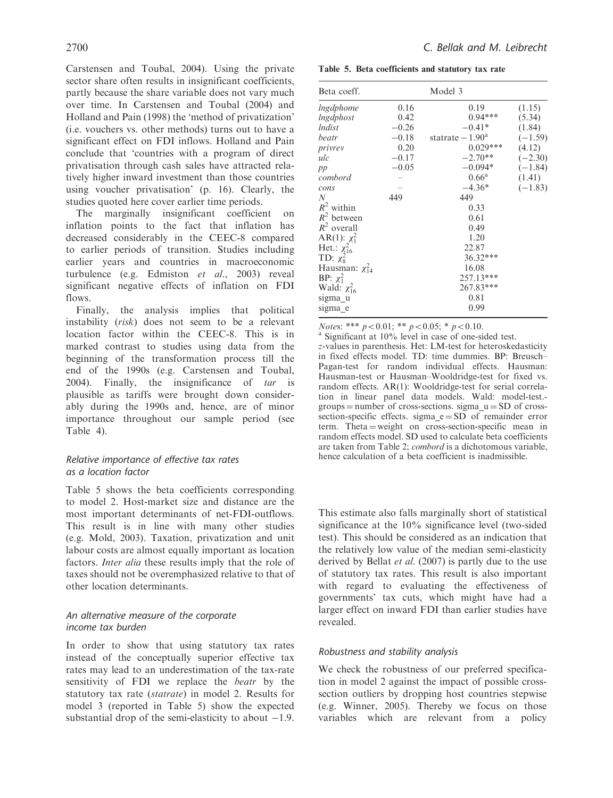Carstensen and Toubal, 2004). Using the private sector share often results in insignificant coefficients, partly because the share variable does not vary much over time. In Carstensen and Toubal (2004) and Holland and Pain (1998) the 'method of privatization' (i.e. vouchers vs. other methods) turns out to have a significant effect on FDI inflows. Holland and Pain conclude that 'countries with a program of direct privatisation through cash sales have attracted relatively higher inward investment than those countries using voucher privatisation' (p. 16). Clearly, the studies quoted here cover earlier time periods.

The marginally insignificant coefficient on inflation points to the fact that inflation has decreased considerably in the CEEC-8 compared to earlier periods of transition. Studies including earlier years and countries in macroeconomic turbulence (e.g. Edmiston et al., 2003) reveal significant negative effects of inflation on FDI flows.

Finally, the analysis implies that political instability (risk) does not seem to be a relevant location factor within the CEEC-8. This is in marked contrast to studies using data from the beginning of the transformation process till the end of the 1990s (e.g. Carstensen and Toubal, 2004). Finally, the insignificance of  $tar$  is plausible as tariffs were brought down considerably during the 1990s and, hence, are of minor importance throughout our sample period (see Table 4).

# Relative importance of effective tax rates as a location factor

Table 5 shows the beta coefficients corresponding to model 2. Host-market size and distance are the most important determinants of net-FDI-outflows. This result is in line with many other studies (e.g. Mold, 2003). Taxation, privatization and unit labour costs are almost equally important as location factors. Inter alia these results imply that the role of taxes should not be overemphasized relative to that of other location determinants.

# An alternative measure of the corporate income tax burden

In order to show that using statutory tax rates instead of the conceptually superior effective tax rates may lead to an underestimation of the tax-rate sensitivity of FDI we replace the beatr by the statutory tax rate (statrate) in model 2. Results for model 3 (reported in Table 5) show the expected substantial drop of the semi-elasticity to about  $-1.9$ .

Table 5. Beta coefficients and statutory tax rate

| Beta coeff.            |         | Model 3            |           |
|------------------------|---------|--------------------|-----------|
| lngdphome              | 0.16    | 0.19               | (1.15)    |
| lngdphost              | 0.42    | $0.94***$          | (5.34)    |
| <i>Indist</i>          | $-0.26$ | $-0.41*$           | (1.84)    |
| beatr                  | $-0.18$ | statrate $-1.90^a$ | $(-1.59)$ |
| privrey                | 0.20    | $0.029***$         | (4.12)    |
| ulc                    | $-0.17$ | $-2.70**$          | $(-2.30)$ |
| pp                     | $-0.05$ | $-0.094*$          | $(-1.84)$ |
| combord                |         | $0.66^{\rm a}$     | (1.41)    |
| cons                   |         | $-4.36*$           | $(-1.83)$ |
| N                      | 449     | 449                |           |
| $R^2$ within           |         | 0.33               |           |
| $R^2$ between          |         | 0.61               |           |
| $R^2$ overall          |         | 0.49               |           |
| AR(1): $\chi_1^2$      |         | 1.20               |           |
| Het.: $\chi_{16}^2$    |         | 22.87              |           |
| TD: $\chi^2_8$         |         | 36.32***           |           |
| Hausman: $\chi_{14}^2$ |         | 16.08              |           |
| BP: $\chi_1^2$         |         | 257.13***          |           |
| Wald: $\chi^2_{16}$    |         | 267.83***          |           |
| sigma u                |         | 0.81               |           |
| sigma e                |         | 0.99               |           |

*Notes*: \*\*\*  $p < 0.01$ ; \*\*  $p < 0.05$ ; \*  $p < 0.10$ .<br>a Significant at 10% level in case of one-sided test.

z-values in parenthesis. Het: LM-test for heteroskedasticity in fixed effects model. TD: time dummies. BP: Breusch– Pagan-test for random individual effects. Hausman: Hausman-test or Hausman–Wooldridge-test for fixed vs. random effects. AR(1): Wooldridge-test for serial correlation in linear panel data models. Wald: model-test. groups = number of cross-sections. sigma  $u = SD$  of crosssection-specific effects. sigma $_e = SD$  of remainder error term. Theta = weight on cross-section-specific mean in random effects model. SD used to calculate beta coefficients are taken from Table 2; combord is a dichotomous variable, hence calculation of a beta coefficient is inadmissible.

This estimate also falls marginally short of statistical significance at the 10% significance level (two-sided test). This should be considered as an indication that the relatively low value of the median semi-elasticity derived by Bellat et al. (2007) is partly due to the use of statutory tax rates. This result is also important with regard to evaluating the effectiveness of governments' tax cuts, which might have had a larger effect on inward FDI than earlier studies have revealed.

# Robustness and stability analysis

We check the robustness of our preferred specification in model 2 against the impact of possible crosssection outliers by dropping host countries stepwise (e.g. Winner, 2005). Thereby we focus on those variables which are relevant from a policy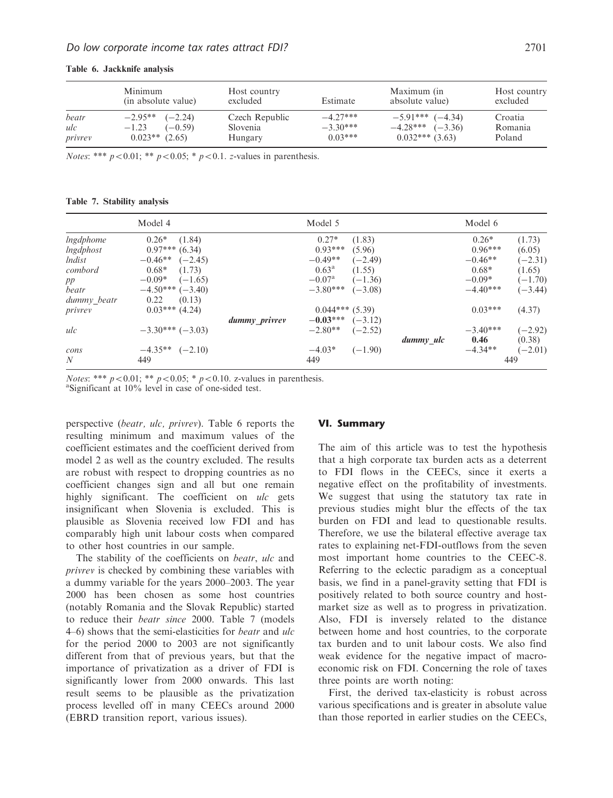|                         | Minimum<br>(in absolute value)                                     | Host country<br>excluded              | Estimate                              | Maximum (in<br>absolute value)                                    | Host country<br>excluded     |
|-------------------------|--------------------------------------------------------------------|---------------------------------------|---------------------------------------|-------------------------------------------------------------------|------------------------------|
| beatr<br>ulc<br>privrey | $-2.95**$ $(-2.24)$<br>$(-0.59)$<br>$-1.23$<br>$0.023**$<br>(2.65) | Czech Republic<br>Slovenia<br>Hungary | $-4.27***$<br>$-3.30***$<br>$0.03***$ | $-5.91***$ $(-4.34)$<br>$-4.28***$ $(-3.36)$<br>$0.032***$ (3.63) | Croatia<br>Romania<br>Poland |

Table 6. Jackknife analysis

*Notes*: \*\*\*  $p < 0.01$ ; \*\*  $p < 0.05$ ; \*  $p < 0.1$ . z-values in parenthesis.

Table 7. Stability analysis

|                  | Model 4                |               | Model 5                      |           | Model 6    |           |
|------------------|------------------------|---------------|------------------------------|-----------|------------|-----------|
| <i>Ingdphome</i> | $0.26*$<br>(1.84)      |               | $0.27*$<br>(1.83)            |           | $0.26*$    | (1.73)    |
| <i>Ingdphost</i> | $0.97***$ (6.34)       |               | $0.93***$<br>(5.96)          |           | $0.96***$  | (6.05)    |
| <i>lndist</i>    | $-0.46**$<br>$(-2.45)$ |               | $-0.49**$<br>$(-2.49)$       |           | $-0.46**$  | $(-2.31)$ |
| combord          | $0.68*$<br>(1.73)      |               | $0.63^{\rm a}$<br>(1.55)     |           | $0.68*$    | (1.65)    |
| pp               | $-0.09*$<br>$(-1.65)$  |               | $-0.07^{\rm a}$<br>$(-1.36)$ |           | $-0.09*$   | $(-1.70)$ |
| beatr            | $-4.50***(-3.40)$      |               | $-3.80***$<br>$(-3.08)$      |           | $-4.40***$ | $(-3.44)$ |
| dummy beatr      | (0.13)<br>0.22         |               |                              |           |            |           |
| privrey          | $0.03***$ (4.24)       |               | $0.044***$ (5.39)            |           | $0.03***$  | (4.37)    |
|                  |                        | dummy_privrev | $-0.03***$<br>$(-3.12)$      |           |            |           |
| ulc              | $-3.30***(-3.03)$      |               | $-2.80**$<br>$(-2.52)$       |           | $-3.40***$ | $(-2.92)$ |
|                  |                        |               |                              | dummy ulc | 0.46       | (0.38)    |
| cons             | $-4.35**$<br>$(-2.10)$ |               | $-4.03*$<br>$(-1.90)$        |           | $-4.34**$  | $(-2.01)$ |
| N                | 449                    |               | 449                          |           |            | 449       |

*Notes*: \*\*\*  $p < 0.01$ ; \*\*  $p < 0.05$ ; \*  $p < 0.10$ . z-values in parenthesis.

Significant at 10% level in case of one-sided test.

perspective (beatr, ulc, privrev). Table 6 reports the resulting minimum and maximum values of the coefficient estimates and the coefficient derived from model 2 as well as the country excluded. The results are robust with respect to dropping countries as no coefficient changes sign and all but one remain highly significant. The coefficient on ulc gets insignificant when Slovenia is excluded. This is plausible as Slovenia received low FDI and has comparably high unit labour costs when compared to other host countries in our sample.

The stability of the coefficients on *beatr*, *ulc* and privrev is checked by combining these variables with a dummy variable for the years 2000–2003. The year 2000 has been chosen as some host countries (notably Romania and the Slovak Republic) started to reduce their beatr since 2000. Table 7 (models 4–6) shows that the semi-elasticities for beatr and ulc for the period 2000 to 2003 are not significantly different from that of previous years, but that the importance of privatization as a driver of FDI is significantly lower from 2000 onwards. This last result seems to be plausible as the privatization process levelled off in many CEECs around 2000 (EBRD transition report, various issues).

#### VI. Summary

The aim of this article was to test the hypothesis that a high corporate tax burden acts as a deterrent to FDI flows in the CEECs, since it exerts a negative effect on the profitability of investments. We suggest that using the statutory tax rate in previous studies might blur the effects of the tax burden on FDI and lead to questionable results. Therefore, we use the bilateral effective average tax rates to explaining net-FDI-outflows from the seven most important home countries to the CEEC-8. Referring to the eclectic paradigm as a conceptual basis, we find in a panel-gravity setting that FDI is positively related to both source country and hostmarket size as well as to progress in privatization. Also, FDI is inversely related to the distance between home and host countries, to the corporate tax burden and to unit labour costs. We also find weak evidence for the negative impact of macroeconomic risk on FDI. Concerning the role of taxes three points are worth noting:

First, the derived tax-elasticity is robust across various specifications and is greater in absolute value than those reported in earlier studies on the CEECs,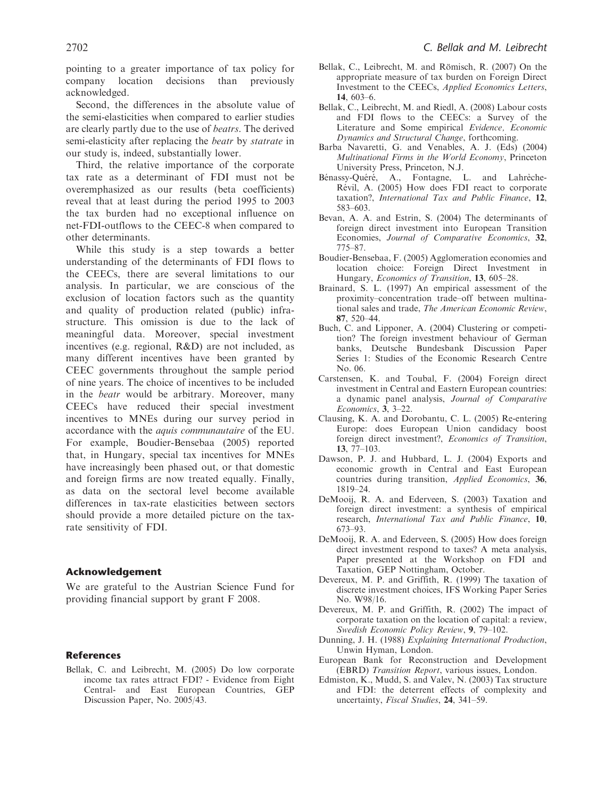pointing to a greater importance of tax policy for company location decisions than previously acknowledged.

Second, the differences in the absolute value of the semi-elasticities when compared to earlier studies are clearly partly due to the use of beatrs. The derived semi-elasticity after replacing the beatr by statrate in our study is, indeed, substantially lower.

Third, the relative importance of the corporate tax rate as a determinant of FDI must not be overemphasized as our results (beta coefficients) reveal that at least during the period 1995 to 2003 the tax burden had no exceptional influence on net-FDI-outflows to the CEEC-8 when compared to other determinants.

While this study is a step towards a better understanding of the determinants of FDI flows to the CEECs, there are several limitations to our analysis. In particular, we are conscious of the exclusion of location factors such as the quantity and quality of production related (public) infrastructure. This omission is due to the lack of meaningful data. Moreover, special investment incentives (e.g. regional, R&D) are not included, as many different incentives have been granted by CEEC governments throughout the sample period of nine years. The choice of incentives to be included in the beatr would be arbitrary. Moreover, many CEECs have reduced their special investment incentives to MNEs during our survey period in accordance with the aquis communautaire of the EU. For example, Boudier-Bensebaa (2005) reported that, in Hungary, special tax incentives for MNEs have increasingly been phased out, or that domestic and foreign firms are now treated equally. Finally, as data on the sectoral level become available differences in tax-rate elasticities between sectors should provide a more detailed picture on the taxrate sensitivity of FDI.

#### Acknowledgement

We are grateful to the Austrian Science Fund for providing financial support by grant F 2008.

## **References**

Bellak, C. and Leibrecht, M. (2005) Do low corporate income tax rates attract FDI? - Evidence from Eight Central- and East European Countries, GEP Discussion Paper, No. 2005/43.

- Bellak, C., Leibrecht, M. and Römisch, R. (2007) On the appropriate measure of tax burden on Foreign Direct Investment to the CEECs, Applied Economics Letters, 14, 603–6.
- Bellak, C., Leibrecht, M. and Riedl, A. (2008) Labour costs and FDI flows to the CEECs: a Survey of the Literature and Some empirical Evidence, Economic Dynamics and Structural Change, forthcoming.
- Barba Navaretti, G. and Venables, A. J. (Eds) (2004) Multinational Firms in the World Economy, Princeton University Press, Princeton, N.J.
- Bénassy-Quéré, A., Fontagne, L. and Lahrèche-Révil, A. (2005) How does FDI react to corporate taxation?, International Tax and Public Finance, 12, 583–603.
- Bevan, A. A. and Estrin, S. (2004) The determinants of foreign direct investment into European Transition Economies, Journal of Comparative Economics, 32, 775–87.
- Boudier-Bensebaa, F. (2005) Agglomeration economies and location choice: Foreign Direct Investment in Hungary, Economics of Transition, 13, 605–28.
- Brainard, S. L. (1997) An empirical assessment of the proximity–concentration trade–off between multinational sales and trade, The American Economic Review, 87, 520–44.
- Buch, C. and Lipponer, A. (2004) Clustering or competition? The foreign investment behaviour of German banks, Deutsche Bundesbank Discussion Paper Series 1: Studies of the Economic Research Centre No. 06.
- Carstensen, K. and Toubal, F. (2004) Foreign direct investment in Central and Eastern European countries: a dynamic panel analysis, Journal of Comparative Economics, 3, 3–22.
- Clausing, K. A. and Dorobantu, C. L. (2005) Re-entering Europe: does European Union candidacy boost foreign direct investment?, Economics of Transition, 13, 77–103.
- Dawson, P. J. and Hubbard, L. J. (2004) Exports and economic growth in Central and East European countries during transition, Applied Economics, 36, 1819–24.
- DeMooij, R. A. and Ederveen, S. (2003) Taxation and foreign direct investment: a synthesis of empirical research, International Tax and Public Finance, 10, 673–93.
- DeMooij, R. A. and Ederveen, S. (2005) How does foreign direct investment respond to taxes? A meta analysis, Paper presented at the Workshop on FDI and Taxation, GEP Nottingham, October.
- Devereux, M. P. and Griffith, R. (1999) The taxation of discrete investment choices, IFS Working Paper Series No. W98/16.
- Devereux, M. P. and Griffith, R. (2002) The impact of corporate taxation on the location of capital: a review, Swedish Economic Policy Review, 9, 79–102.
- Dunning, J. H. (1988) Explaining International Production, Unwin Hyman, London.
- European Bank for Reconstruction and Development (EBRD) Transition Report, various issues, London.
- Edmiston, K., Mudd, S. and Valev, N. (2003) Tax structure and FDI: the deterrent effects of complexity and uncertainty, Fiscal Studies, 24, 341–59.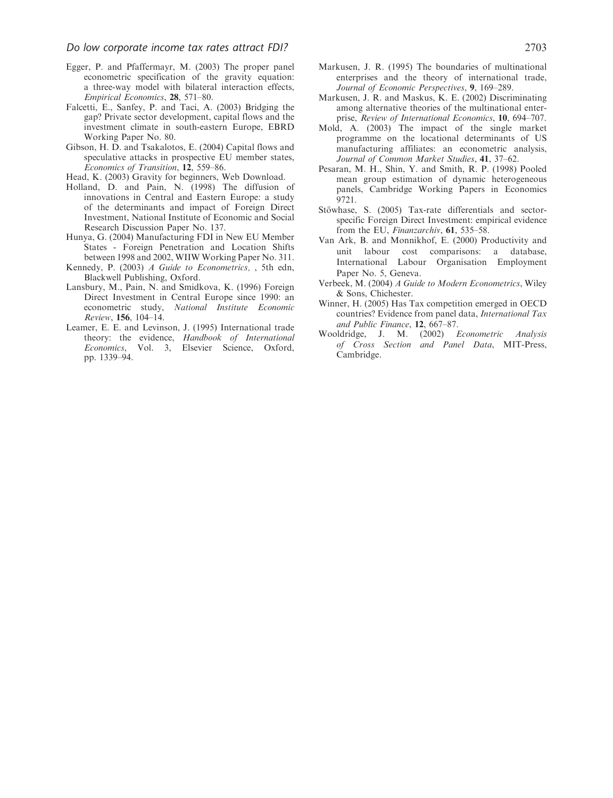- Egger, P. and Pfaffermayr, M. (2003) The proper panel econometric specification of the gravity equation: a three-way model with bilateral interaction effects, Empirical Economics, 28, 571–80.
- Falcetti, E., Sanfey, P. and Taci, A. (2003) Bridging the gap? Private sector development, capital flows and the investment climate in south-eastern Europe, EBRD Working Paper No. 80.
- Gibson, H. D. and Tsakalotos, E. (2004) Capital flows and speculative attacks in prospective EU member states, Economics of Transition, 12, 559–86.
- Head, K. (2003) Gravity for beginners, Web Download.
- Holland, D. and Pain, N. (1998) The diffusion of innovations in Central and Eastern Europe: a study of the determinants and impact of Foreign Direct Investment, National Institute of Economic and Social Research Discussion Paper No. 137.
- Hunya, G. (2004) Manufacturing FDI in New EU Member States - Foreign Penetration and Location Shifts between 1998 and 2002, WIIW Working Paper No. 311.
- Kennedy, P. (2003) A Guide to Econometrics, , 5th edn, Blackwell Publishing, Oxford.
- Lansbury, M., Pain, N. and Smidkova, K. (1996) Foreign Direct Investment in Central Europe since 1990: an econometric study, National Institute Economic Review, 156, 104–14.
- Leamer, E. E. and Levinson, J. (1995) International trade theory: the evidence, Handbook of International Economics, Vol. 3, Elsevier Science, Oxford, pp. 1339–94.
- Markusen, J. R. (1995) The boundaries of multinational enterprises and the theory of international trade, Journal of Economic Perspectives, 9, 169–289.
- Markusen, J. R. and Maskus, K. E. (2002) Discriminating among alternative theories of the multinational enterprise, Review of International Economics, 10, 694–707.
- Mold, A. (2003) The impact of the single market programme on the locational determinants of US manufacturing affiliates: an econometric analysis, Journal of Common Market Studies, 41, 37–62.
- Pesaran, M. H., Shin, Y. and Smith, R. P. (1998) Pooled mean group estimation of dynamic heterogeneous panels, Cambridge Working Papers in Economics 9721.
- Stöwhase, S. (2005) Tax-rate differentials and sectorspecific Foreign Direct Investment: empirical evidence from the EU, Finanzarchiv, 61, 535-58.
- Van Ark, B. and Monnikhof, E. (2000) Productivity and unit labour cost comparisons: a database, International Labour Organisation Employment Paper No. 5, Geneva.
- Verbeek, M. (2004) A Guide to Modern Econometrics, Wiley & Sons, Chichester.
- Winner, H. (2005) Has Tax competition emerged in OECD countries? Evidence from panel data, International Tax and Public Finance, 12, 667–87.
- Wooldridge, J. M. (2002) Econometric Analysis of Cross Section and Panel Data, MIT-Press, Cambridge.